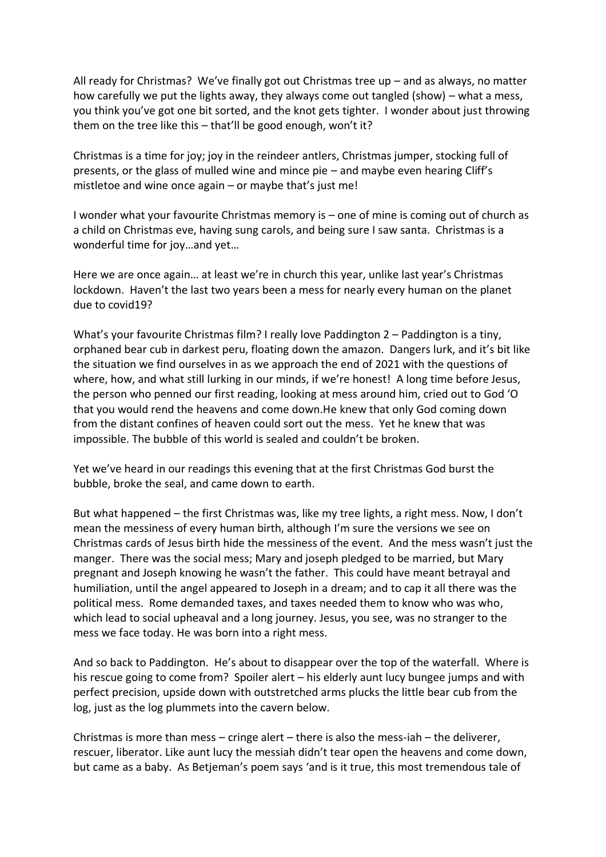All ready for Christmas? We've finally got out Christmas tree up – and as always, no matter how carefully we put the lights away, they always come out tangled (show) – what a mess, you think you've got one bit sorted, and the knot gets tighter. I wonder about just throwing them on the tree like this – that'll be good enough, won't it?

Christmas is a time for joy; joy in the reindeer antlers, Christmas jumper, stocking full of presents, or the glass of mulled wine and mince pie – and maybe even hearing Cliff's mistletoe and wine once again – or maybe that's just me!

I wonder what your favourite Christmas memory is – one of mine is coming out of church as a child on Christmas eve, having sung carols, and being sure I saw santa. Christmas is a wonderful time for joy…and yet…

Here we are once again… at least we're in church this year, unlike last year's Christmas lockdown. Haven't the last two years been a mess for nearly every human on the planet due to covid19?

What's your favourite Christmas film? I really love Paddington 2 – Paddington is a tiny, orphaned bear cub in darkest peru, floating down the amazon. Dangers lurk, and it's bit like the situation we find ourselves in as we approach the end of 2021 with the questions of where, how, and what still lurking in our minds, if we're honest! A long time before Jesus, the person who penned our first reading, looking at mess around him, cried out to God 'O that you would rend the heavens and come down.He knew that only God coming down from the distant confines of heaven could sort out the mess. Yet he knew that was impossible. The bubble of this world is sealed and couldn't be broken.

Yet we've heard in our readings this evening that at the first Christmas God burst the bubble, broke the seal, and came down to earth.

But what happened – the first Christmas was, like my tree lights, a right mess. Now, I don't mean the messiness of every human birth, although I'm sure the versions we see on Christmas cards of Jesus birth hide the messiness of the event. And the mess wasn't just the manger. There was the social mess; Mary and joseph pledged to be married, but Mary pregnant and Joseph knowing he wasn't the father. This could have meant betrayal and humiliation, until the angel appeared to Joseph in a dream; and to cap it all there was the political mess. Rome demanded taxes, and taxes needed them to know who was who, which lead to social upheaval and a long journey. Jesus, you see, was no stranger to the mess we face today. He was born into a right mess.

And so back to Paddington. He's about to disappear over the top of the waterfall. Where is his rescue going to come from? Spoiler alert – his elderly aunt lucy bungee jumps and with perfect precision, upside down with outstretched arms plucks the little bear cub from the log, just as the log plummets into the cavern below.

Christmas is more than mess – cringe alert – there is also the mess-iah – the deliverer, rescuer, liberator. Like aunt lucy the messiah didn't tear open the heavens and come down, but came as a baby. As Betjeman's poem says 'and is it true, this most tremendous tale of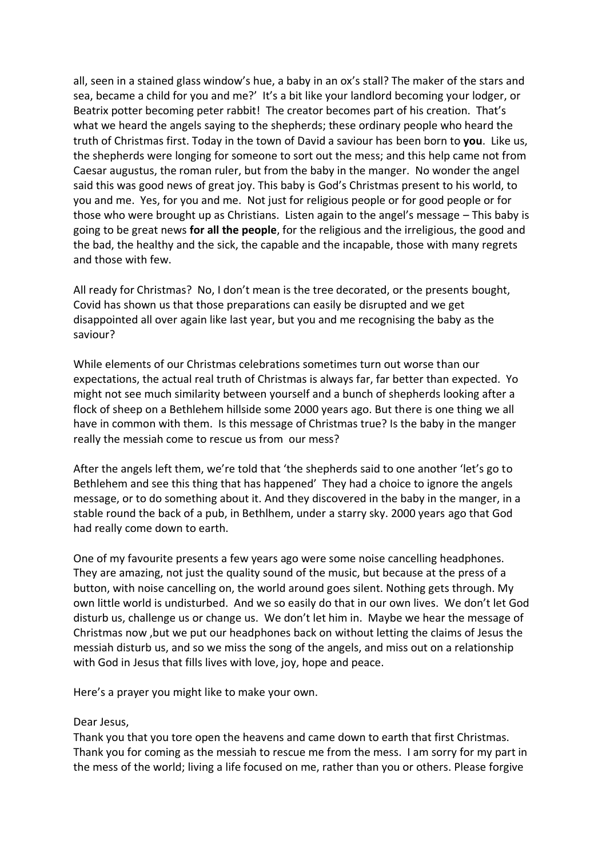all, seen in a stained glass window's hue, a baby in an ox's stall? The maker of the stars and sea, became a child for you and me?' It's a bit like your landlord becoming your lodger, or Beatrix potter becoming peter rabbit! The creator becomes part of his creation. That's what we heard the angels saying to the shepherds; these ordinary people who heard the truth of Christmas first. Today in the town of David a saviour has been born to **you**. Like us, the shepherds were longing for someone to sort out the mess; and this help came not from Caesar augustus, the roman ruler, but from the baby in the manger. No wonder the angel said this was good news of great joy. This baby is God's Christmas present to his world, to you and me. Yes, for you and me. Not just for religious people or for good people or for those who were brought up as Christians. Listen again to the angel's message – This baby is going to be great news **for all the people**, for the religious and the irreligious, the good and the bad, the healthy and the sick, the capable and the incapable, those with many regrets and those with few.

All ready for Christmas? No, I don't mean is the tree decorated, or the presents bought, Covid has shown us that those preparations can easily be disrupted and we get disappointed all over again like last year, but you and me recognising the baby as the saviour?

While elements of our Christmas celebrations sometimes turn out worse than our expectations, the actual real truth of Christmas is always far, far better than expected. Yo might not see much similarity between yourself and a bunch of shepherds looking after a flock of sheep on a Bethlehem hillside some 2000 years ago. But there is one thing we all have in common with them. Is this message of Christmas true? Is the baby in the manger really the messiah come to rescue us from our mess?

After the angels left them, we're told that 'the shepherds said to one another 'let's go to Bethlehem and see this thing that has happened' They had a choice to ignore the angels message, or to do something about it. And they discovered in the baby in the manger, in a stable round the back of a pub, in Bethlhem, under a starry sky. 2000 years ago that God had really come down to earth.

One of my favourite presents a few years ago were some noise cancelling headphones. They are amazing, not just the quality sound of the music, but because at the press of a button, with noise cancelling on, the world around goes silent. Nothing gets through. My own little world is undisturbed. And we so easily do that in our own lives. We don't let God disturb us, challenge us or change us. We don't let him in. Maybe we hear the message of Christmas now ,but we put our headphones back on without letting the claims of Jesus the messiah disturb us, and so we miss the song of the angels, and miss out on a relationship with God in Jesus that fills lives with love, joy, hope and peace.

Here's a prayer you might like to make your own.

## Dear Jesus,

Thank you that you tore open the heavens and came down to earth that first Christmas. Thank you for coming as the messiah to rescue me from the mess. I am sorry for my part in the mess of the world; living a life focused on me, rather than you or others. Please forgive